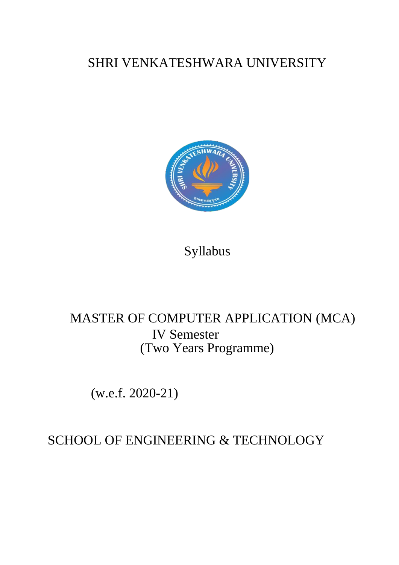# SHRI VENKATESHWARA UNIVERSITY



Syllabus

# MASTER OF COMPUTER APPLICATION (MCA) IV Semester (Two Years Programme)

(w.e.f. 2020-21)

SCHOOL OF ENGINEERING & TECHNOLOGY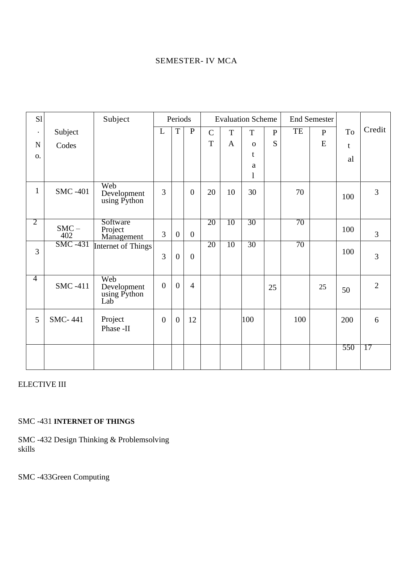# SEMESTER- IV MCA

| S1             |                      | Subject                                   | Periods        |                  |                  | <b>Evaluation Scheme</b> |              |                   |              | <b>End Semester</b> |              |     |                |
|----------------|----------------------|-------------------------------------------|----------------|------------------|------------------|--------------------------|--------------|-------------------|--------------|---------------------|--------------|-----|----------------|
| $\bullet$      | Subject              |                                           | L              | T                | $\mathbf P$      | $\mathcal{C}$            | T            | $\mathbf T$       | $\mathbf{P}$ | TE                  | $\mathbf{P}$ | To  | Credit         |
| $\mathbf N$    | Codes                |                                           |                |                  |                  | T                        | $\mathbf{A}$ | $\mathbf{O}$      | S            |                     | ${\bf E}$    | t   |                |
| 0.             |                      |                                           |                |                  |                  |                          |              | t                 |              |                     |              | al  |                |
|                |                      |                                           |                |                  |                  |                          |              | a<br>$\mathbf{l}$ |              |                     |              |     |                |
| $\mathbf{1}$   | <b>SMC -401</b>      | Web<br>Development<br>using Python        | 3              |                  | $\boldsymbol{0}$ | 20                       | 10           | 30                |              | 70                  |              | 100 | 3              |
| 2              | $\text{SMC}-$<br>402 | Software<br>Project<br>Management         | 3              | $\boldsymbol{0}$ | $\boldsymbol{0}$ | 20                       | 10           | 30                |              | 70                  |              | 100 | 3              |
| 3              | <b>SMC -431</b>      | Internet of Things                        | 3              | $\boldsymbol{0}$ | $\boldsymbol{0}$ | 20                       | 10           | 30                |              | 70                  |              | 100 | 3              |
| $\overline{4}$ | <b>SMC -411</b>      | Web<br>Development<br>using Python<br>Lab | $\overline{0}$ | $\overline{0}$   | $\overline{4}$   |                          |              |                   | 25           |                     | 25           | 50  | $\overline{2}$ |
| 5              | <b>SMC-441</b>       | Project<br>Phase -II                      | $\mathbf{0}$   | $\overline{0}$   | 12               |                          |              | 100               |              | 100                 |              | 200 | 6              |
|                |                      |                                           |                |                  |                  |                          |              |                   |              |                     |              | 550 | 17             |

# ELECTIVE III

# SMC -431 **INTERNET OF THINGS**

SMC -432 Design Thinking & Problemsolving skills

SMC -433Green Computing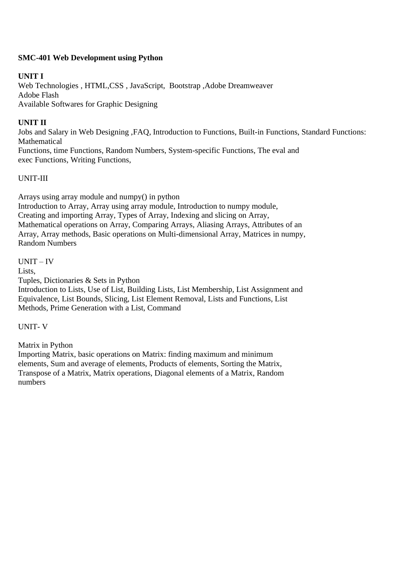# **SMC-401 Web Development using Python**

## **UNIT I**

Web Technologies , HTML,CSS , JavaScript, Bootstrap ,Adobe Dreamweaver Adobe Flash Available Softwares for Graphic Designing

#### **UNIT II**

Jobs and Salary in Web Designing ,FAQ, Introduction to Functions, Built-in Functions, Standard Functions: Mathematical

Functions, time Functions, Random Numbers, System-specific Functions, The eval and exec Functions, Writing Functions,

# UNIT-III

Arrays using array module and numpy() in python Introduction to Array, Array using array module, Introduction to numpy module, Creating and importing Array, Types of Array, Indexing and slicing on Array, Mathematical operations on Array, Comparing Arrays, Aliasing Arrays, Attributes of an Array, Array methods, Basic operations on Multi-dimensional Array, Matrices in numpy, Random Numbers

UNIT – IV

Lists,

Tuples, Dictionaries & Sets in Python

Introduction to Lists, Use of List, Building Lists, List Membership, List Assignment and Equivalence, List Bounds, Slicing, List Element Removal, Lists and Functions, List Methods, Prime Generation with a List, Command

UNIT- V

Matrix in Python

Importing Matrix, basic operations on Matrix: finding maximum and minimum elements, Sum and average of elements, Products of elements, Sorting the Matrix, Transpose of a Matrix, Matrix operations, Diagonal elements of a Matrix, Random numbers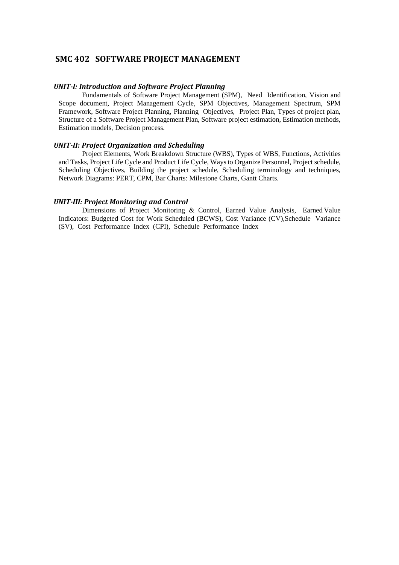#### **SMC 402 SOFTWARE PROJECT MANAGEMENT**

#### *UNIT-I: Introduction and Software Project Planning*

Fundamentals of Software Project Management (SPM), Need Identification, Vision and Scope document, Project Management Cycle, SPM Objectives, Management Spectrum, SPM Framework, Software Project Planning, Planning Objectives, Project Plan, Types of project plan, Structure of a Software Project Management Plan, Software project estimation, Estimation methods, Estimation models, Decision process.

#### *UNIT-II: Project Organization and Scheduling*

Project Elements, Work Breakdown Structure (WBS), Types of WBS, Functions, Activities and Tasks, Project Life Cycle and Product Life Cycle, Waysto Organize Personnel, Project schedule, Scheduling Objectives, Building the project schedule, Scheduling terminology and techniques, Network Diagrams: PERT, CPM, Bar Charts: Milestone Charts, Gantt Charts.

#### *UNIT-III: Project Monitoring and Control*

Dimensions of Project Monitoring & Control, Earned Value Analysis, Earned Value Indicators: Budgeted Cost for Work Scheduled (BCWS), Cost Variance (CV),Schedule Variance (SV), Cost Performance Index (CPI), Schedule Performance Index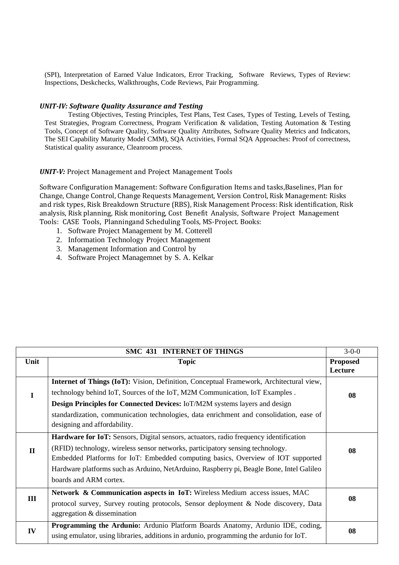(SPI), Interpretation of Earned Value Indicators, Error Tracking, Software Reviews, Types of Review: Inspections, Deskchecks, Walkthroughs, Code Reviews, Pair Programming.

#### *UNIT-IV: Software Quality Assurance and Testing*

Testing Objectives, Testing Principles, Test Plans, Test Cases, Types of Testing, Levels of Testing, Test Strategies, Program Correctness, Program Verification & validation, Testing Automation & Testing Tools, Concept of Software Quality, Software Quality Attributes, Software Quality Metrics and Indicators, The SEI Capability Maturity Model CMM), SQA Activities, Formal SQA Approaches: Proof of correctness, Statistical quality assurance, Cleanroom process.

#### *UNIT-V:* Project Management and Project Management Tools

Software Configuration Management: Software Configuration Items and tasks,Baselines, Plan for Change, Change Control, Change Requests Management, Version Control, Risk Management: Risks and risk types, Risk Breakdown Structure (RBS), Risk Management Process: Risk identification, Risk analysis, Risk planning, Risk monitoring, Cost Benefit Analysis, Software Project Management Tools: CASE Tools, Planningand Scheduling Tools, MS-Project. Books:

- 1. Software Project Management by M. Cotterell
- 2. Information Technology Project Management
- 3. Management Information and Control by
- 4. Software Project Managemnet by S. A. Kelkar

| SMC 431 INTERNET OF THINGS |                                                                                                                                                                           |                            |  |  |  |
|----------------------------|---------------------------------------------------------------------------------------------------------------------------------------------------------------------------|----------------------------|--|--|--|
| Unit                       | <b>Topic</b>                                                                                                                                                              | <b>Proposed</b><br>Lecture |  |  |  |
|                            | <b>Internet of Things (IoT):</b> Vision, Definition, Conceptual Framework, Architectural view,                                                                            |                            |  |  |  |
| T                          | technology behind IoT, Sources of the IoT, M2M Communication, IoT Examples.                                                                                               |                            |  |  |  |
|                            | Design Principles for Connected Devices: IoT/M2M systems layers and design                                                                                                |                            |  |  |  |
|                            | standardization, communication technologies, data enrichment and consolidation, ease of                                                                                   |                            |  |  |  |
|                            | designing and affordability.                                                                                                                                              |                            |  |  |  |
|                            | <b>Hardware for IoT:</b> Sensors, Digital sensors, actuators, radio frequency identification                                                                              |                            |  |  |  |
| $\mathbf{I}$               | (RFID) technology, wireless sensor networks, participatory sensing technology.                                                                                            |                            |  |  |  |
|                            | Embedded Platforms for IoT: Embedded computing basics, Overview of IOT supported                                                                                          |                            |  |  |  |
|                            | Hardware platforms such as Arduino, NetArduino, Raspberry pi, Beagle Bone, Intel Galileo                                                                                  |                            |  |  |  |
|                            | boards and ARM cortex.                                                                                                                                                    |                            |  |  |  |
|                            | <b>Network &amp; Communication aspects in IoT:</b> Wireless Medium access issues, MAC                                                                                     |                            |  |  |  |
| Ш                          | protocol survey, Survey routing protocols, Sensor deployment & Node discovery, Data                                                                                       |                            |  |  |  |
|                            | aggregation & dissemination                                                                                                                                               |                            |  |  |  |
| IV                         | Programming the Ardunio: Ardunio Platform Boards Anatomy, Ardunio IDE, coding,<br>using emulator, using libraries, additions in ardunio, programming the ardunio for IoT. | 08                         |  |  |  |
|                            |                                                                                                                                                                           |                            |  |  |  |